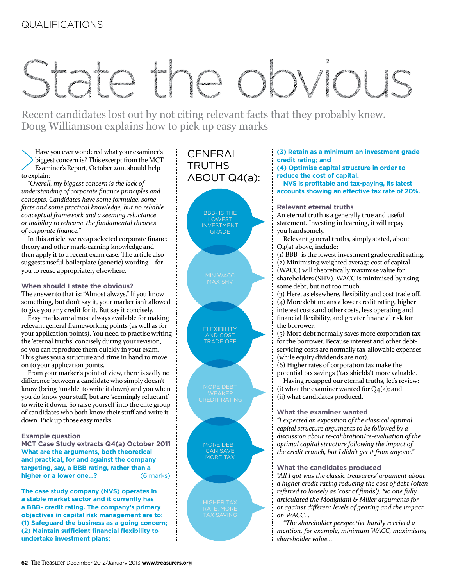# State the obviou

Recent candidates lost out by not citing relevant facts that they probably knew. Doug Williamson explains how to pick up easy marks

Have you ever wondered what your examiner's biggest concern is? This excerpt from the MCT Examiner's Report, October 2011, should help to explain:

*"Overall, my biggest concern is the lack of understanding of corporate finance principles and concepts. Candidates have some formulae, some facts and some practical knowledge, but no reliable conceptual framework and a seeming reluctance or inability to rehearse the fundamental theories of corporate finance."*

In this article, we recap selected corporate finance theory and other mark-earning knowledge and then apply it to a recent exam case. The article also suggests useful boilerplate (generic) wording – for you to reuse appropriately elsewhere.

# **When should I state the obvious?**

The answer to that is: "Almost always." If you know something, but don't say it, your marker isn't allowed to give you any credit for it. But say it concisely.

Easy marks are almost always available for making relevant general frameworking points (as well as for your application points). You need to practise writing the 'eternal truths' concisely during your revision, so you can reproduce them quickly in your exam. This gives you a structure and time in hand to move on to your application points.

From your marker's point of view, there is sadly no difference between a candidate who simply doesn't know (being 'unable' to write it down) and you when you do know your stuff, but are 'seemingly reluctant' to write it down. So raise yourself into the elite group of candidates who both know their stuff and write it down. Pick up those easy marks.

# **Example question**

**MCT Case Study extracts Q4(a) October 2011 What are the arguments, both theoretical and practical, for and against the company targeting, say, a BBB rating, rather than a higher or a lower one...?** (6 marks)

**The case study company (NVS) operates in a stable market sector and it currently has a BBB- credit rating. The company's primary objectives in capital risk management are to: (1) Safeguard the business as a going concern; (2) Maintain sufficient financial flexibility to undertake investment plans;**



### **(3) Retain as a minimum an investment grade credit rating; and**

**(4) Optimise capital structure in order to reduce the cost of capital.**

**NVS is profitable and tax-paying, its latest accounts showing an effective tax rate of 20%.**

**Relevant eternal truths** An eternal truth is a generally true and useful statement. Investing in learning, it will repay you handsomely.

Relevant general truths, simply stated, about Q4(a) above, include:

(1) BBB- is the lowest investment grade credit rating. (2) Minimising weighted average cost of capital (WACC) will theoretically maximise value for shareholders (SHV). WACC is minimised by using some debt, but not too much.

(3) Here, as elsewhere, flexibility and cost trade off. (4) More debt means a lower credit rating, higher interest costs and other costs, less operating and financial flexibility, and greater financial risk for the borrower.

(5) More debt normally saves more corporation tax for the borrower. Because interest and other debtservicing costs are normally tax-allowable expenses (while equity dividends are not).

(6) Higher rates of corporation tax make the potential tax savings ('tax shields') more valuable.

Having recapped our eternal truths, let's review: (i) what the examiner wanted for  $O_4(a)$ ; and (ii) what candidates produced.

# **What the examiner wanted**

*"I expected an exposition of the classical optimal capital structure arguments to be followed by a discussion about re-calibration/re-evaluation of the optimal capital structure following the impact of the credit crunch, but I didn't get it from anyone."*

# **What the candidates produced**

*"All I got was the classic treasurers' argument about a higher credit rating reducing the cost of debt (often referred to loosely as 'cost of funds'). No one fully articulated the Modigliani & Miller arguments for or against different levels of gearing and the impact on WACC...*

*"The shareholder perspective hardly received a mention, for example, minimum WACC, maximising shareholder value...*